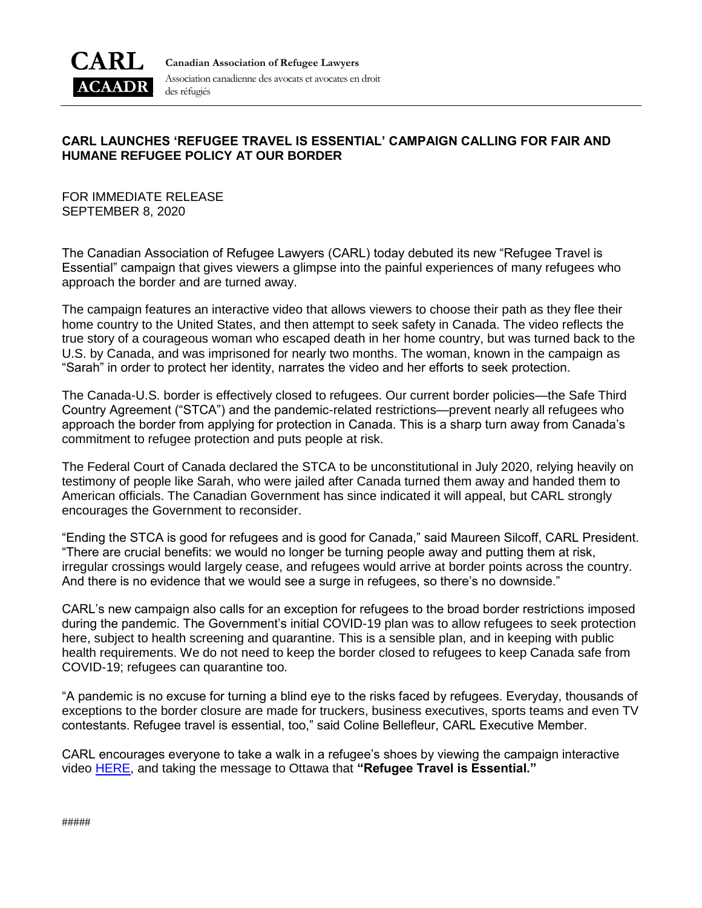

**Canadian Association of Refugee Lawyers** Association canadienne des avocats et avocates en droit des réfugiés

## **CARL LAUNCHES 'REFUGEE TRAVEL IS ESSENTIAL' CAMPAIGN CALLING FOR FAIR AND HUMANE REFUGEE POLICY AT OUR BORDER**

FOR IMMEDIATE RELEASE SEPTEMBER 8, 2020

The Canadian Association of Refugee Lawyers (CARL) today debuted its new "Refugee Travel is Essential" campaign that gives viewers a glimpse into the painful experiences of many refugees who approach the border and are turned away.

The campaign features an interactive video that allows viewers to choose their path as they flee their home country to the United States, and then attempt to seek safety in Canada. The video reflects the true story of a courageous woman who escaped death in her home country, but was turned back to the U.S. by Canada, and was imprisoned for nearly two months. The woman, known in the campaign as "Sarah" in order to protect her identity, narrates the video and her efforts to seek protection.

The Canada-U.S. border is effectively closed to refugees. Our current border policies—the Safe Third Country Agreement ("STCA") and the pandemic-related restrictions—prevent nearly all refugees who approach the border from applying for protection in Canada. This is a sharp turn away from Canada's commitment to refugee protection and puts people at risk.

The Federal Court of Canada declared the STCA to be unconstitutional in July 2020, relying heavily on testimony of people like Sarah, who were jailed after Canada turned them away and handed them to American officials. The Canadian Government has since indicated it will appeal, but CARL strongly encourages the Government to reconsider.

"Ending the STCA is good for refugees and is good for Canada," said Maureen Silcoff, CARL President. "There are crucial benefits: we would no longer be turning people away and putting them at risk, irregular crossings would largely cease, and refugees would arrive at border points across the country. And there is no evidence that we would see a surge in refugees, so there's no downside."

CARL's new campaign also calls for an exception for refugees to the broad border restrictions imposed during the pandemic. The Government's initial COVID-19 plan was to allow refugees to seek protection here, subject to health screening and quarantine. This is a sensible plan, and in keeping with public health requirements. We do not need to keep the border closed to refugees to keep Canada safe from COVID-19; refugees can quarantine too.

"A pandemic is no excuse for turning a blind eye to the risks faced by refugees. Everyday, thousands of exceptions to the border closure are made for truckers, business executives, sports teams and even TV contestants. Refugee travel is essential, too," said Coline Bellefleur, CARL Executive Member.

CARL encourages everyone to take a walk in a refugee's shoes by viewing the campaign interactive video [HERE,](https://carl-acaadr.ca/refugee-travel-is-essential/) and taking the message to Ottawa that **"Refugee Travel is Essential."**